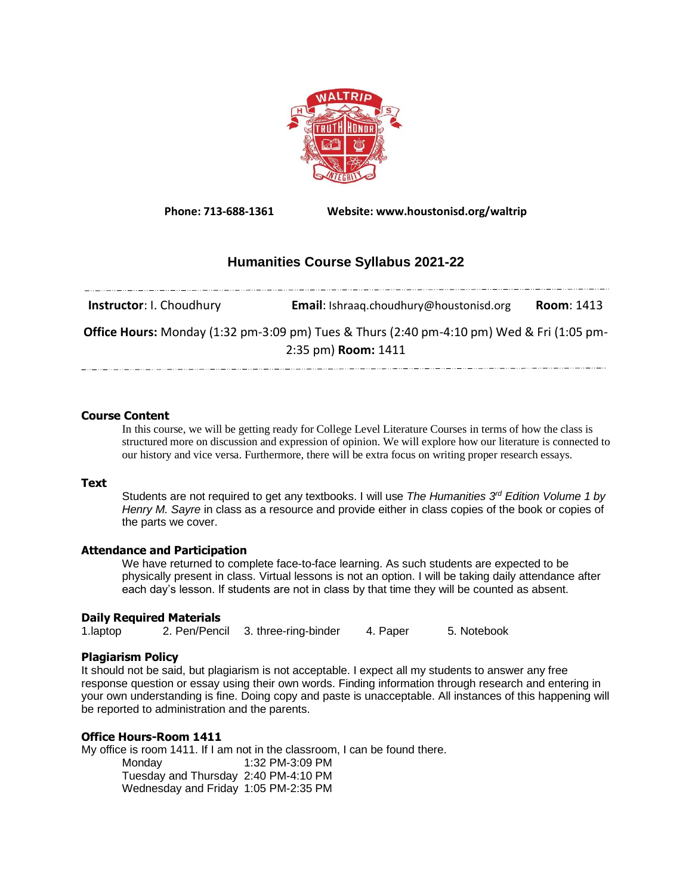

**Phone: 713-688-1361 Website: www.houstonisd.org/waltrip**

# **Humanities Course Syllabus 2021-22**

| <b>Instructor: I. Choudhury</b> | <b>Email:</b> Ishraag.choudhury@houstonisd.org                                                                          | <b>Room: 1413</b> |
|---------------------------------|-------------------------------------------------------------------------------------------------------------------------|-------------------|
|                                 | <b>Office Hours:</b> Monday (1:32 pm-3:09 pm) Tues & Thurs (2:40 pm-4:10 pm) Wed & Fri (1:05 pm-<br>2:35 pm) Room: 1411 |                   |

## **Course Content**

In this course, we will be getting ready for College Level Literature Courses in terms of how the class is structured more on discussion and expression of opinion. We will explore how our literature is connected to our history and vice versa. Furthermore, there will be extra focus on writing proper research essays.

### **Text**

Students are not required to get any textbooks. I will use *The Humanities 3rd Edition Volume 1 by Henry M. Sayre* in class as a resource and provide either in class copies of the book or copies of the parts we cover.

### **Attendance and Participation**

We have returned to complete face-to-face learning. As such students are expected to be physically present in class. Virtual lessons is not an option. I will be taking daily attendance after each day's lesson. If students are not in class by that time they will be counted as absent.

### **Daily Required Materials**

1.laptop 2. Pen/Pencil 3. three-ring-binder 4. Paper 5. Notebook

### **Plagiarism Policy**

It should not be said, but plagiarism is not acceptable. I expect all my students to answer any free response question or essay using their own words. Finding information through research and entering in your own understanding is fine. Doing copy and paste is unacceptable. All instances of this happening will be reported to administration and the parents.

### **Office Hours-Room 1411**

My office is room 1411. If I am not in the classroom, I can be found there.

Monday 1:32 PM-3:09 PM Tuesday and Thursday 2:40 PM-4:10 PM Wednesday and Friday 1:05 PM-2:35 PM